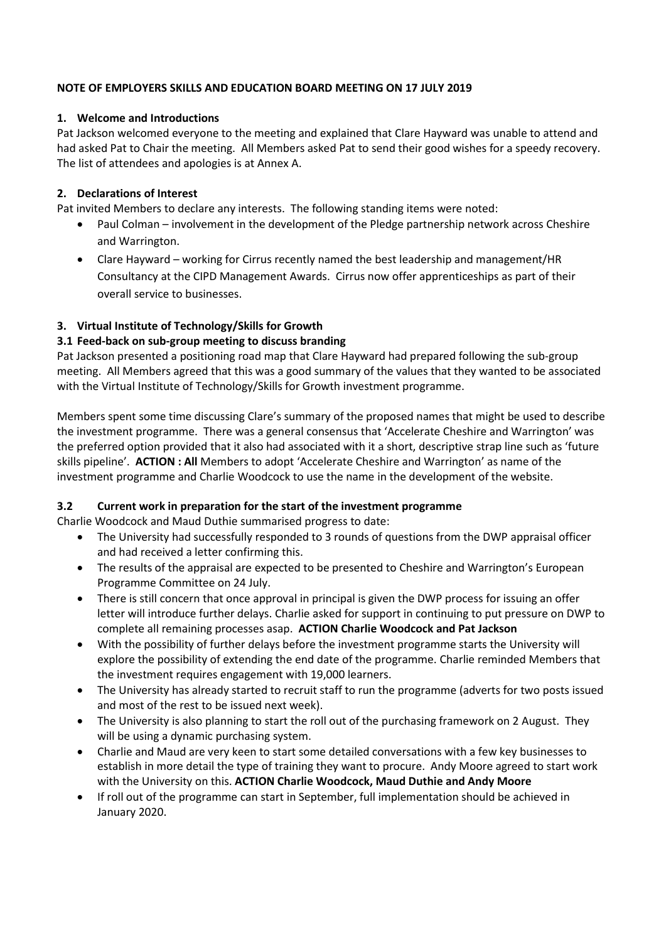## **NOTE OF EMPLOYERS SKILLS AND EDUCATION BOARD MEETING ON 17 JULY 2019**

## **1. Welcome and Introductions**

Pat Jackson welcomed everyone to the meeting and explained that Clare Hayward was unable to attend and had asked Pat to Chair the meeting. All Members asked Pat to send their good wishes for a speedy recovery. The list of attendees and apologies is at Annex A.

## **2. Declarations of Interest**

Pat invited Members to declare any interests. The following standing items were noted:

- Paul Colman involvement in the development of the Pledge partnership network across Cheshire and Warrington.
- Clare Hayward working for Cirrus recently named the best leadership and management/HR Consultancy at the CIPD Management Awards. Cirrus now offer apprenticeships as part of their overall service to businesses.

## **3. Virtual Institute of Technology/Skills for Growth**

## **3.1 Feed-back on sub-group meeting to discuss branding**

Pat Jackson presented a positioning road map that Clare Hayward had prepared following the sub-group meeting. All Members agreed that this was a good summary of the values that they wanted to be associated with the Virtual Institute of Technology/Skills for Growth investment programme.

Members spent some time discussing Clare's summary of the proposed names that might be used to describe the investment programme. There was a general consensus that 'Accelerate Cheshire and Warrington' was the preferred option provided that it also had associated with it a short, descriptive strap line such as 'future skills pipeline'. **ACTION : All** Members to adopt 'Accelerate Cheshire and Warrington' as name of the investment programme and Charlie Woodcock to use the name in the development of the website.

## **3.2 Current work in preparation for the start of the investment programme**

Charlie Woodcock and Maud Duthie summarised progress to date:

- The University had successfully responded to 3 rounds of questions from the DWP appraisal officer and had received a letter confirming this.
- The results of the appraisal are expected to be presented to Cheshire and Warrington's European Programme Committee on 24 July.
- There is still concern that once approval in principal is given the DWP process for issuing an offer letter will introduce further delays. Charlie asked for support in continuing to put pressure on DWP to complete all remaining processes asap. **ACTION Charlie Woodcock and Pat Jackson**
- With the possibility of further delays before the investment programme starts the University will explore the possibility of extending the end date of the programme. Charlie reminded Members that the investment requires engagement with 19,000 learners.
- The University has already started to recruit staff to run the programme (adverts for two posts issued and most of the rest to be issued next week).
- The University is also planning to start the roll out of the purchasing framework on 2 August. They will be using a dynamic purchasing system.
- Charlie and Maud are very keen to start some detailed conversations with a few key businesses to establish in more detail the type of training they want to procure. Andy Moore agreed to start work with the University on this. **ACTION Charlie Woodcock, Maud Duthie and Andy Moore**
- If roll out of the programme can start in September, full implementation should be achieved in January 2020.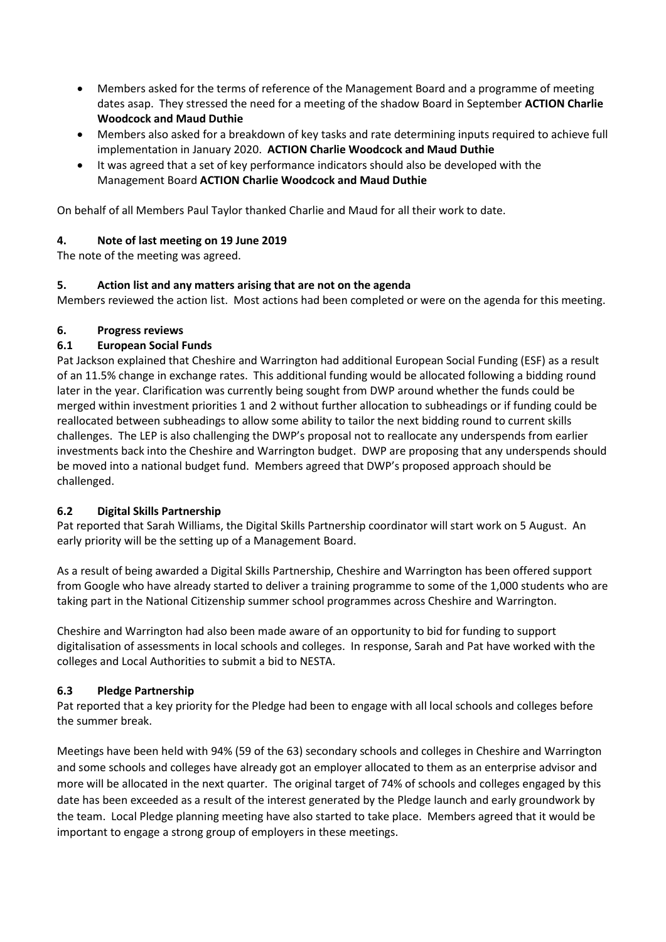- Members asked for the terms of reference of the Management Board and a programme of meeting dates asap. They stressed the need for a meeting of the shadow Board in September **ACTION Charlie Woodcock and Maud Duthie**
- Members also asked for a breakdown of key tasks and rate determining inputs required to achieve full implementation in January 2020. **ACTION Charlie Woodcock and Maud Duthie**
- It was agreed that a set of key performance indicators should also be developed with the Management Board **ACTION Charlie Woodcock and Maud Duthie**

On behalf of all Members Paul Taylor thanked Charlie and Maud for all their work to date.

## **4. Note of last meeting on 19 June 2019**

The note of the meeting was agreed.

## **5. Action list and any matters arising that are not on the agenda**

Members reviewed the action list. Most actions had been completed or were on the agenda for this meeting.

## **6. Progress reviews**

## **6.1 European Social Funds**

Pat Jackson explained that Cheshire and Warrington had additional European Social Funding (ESF) as a result of an 11.5% change in exchange rates. This additional funding would be allocated following a bidding round later in the year. Clarification was currently being sought from DWP around whether the funds could be merged within investment priorities 1 and 2 without further allocation to subheadings or if funding could be reallocated between subheadings to allow some ability to tailor the next bidding round to current skills challenges. The LEP is also challenging the DWP's proposal not to reallocate any underspends from earlier investments back into the Cheshire and Warrington budget. DWP are proposing that any underspends should be moved into a national budget fund. Members agreed that DWP's proposed approach should be challenged.

## **6.2 Digital Skills Partnership**

Pat reported that Sarah Williams, the Digital Skills Partnership coordinator will start work on 5 August. An early priority will be the setting up of a Management Board.

As a result of being awarded a Digital Skills Partnership, Cheshire and Warrington has been offered support from Google who have already started to deliver a training programme to some of the 1,000 students who are taking part in the National Citizenship summer school programmes across Cheshire and Warrington.

Cheshire and Warrington had also been made aware of an opportunity to bid for funding to support digitalisation of assessments in local schools and colleges. In response, Sarah and Pat have worked with the colleges and Local Authorities to submit a bid to NESTA.

## **6.3 Pledge Partnership**

Pat reported that a key priority for the Pledge had been to engage with all local schools and colleges before the summer break.

Meetings have been held with 94% (59 of the 63) secondary schools and colleges in Cheshire and Warrington and some schools and colleges have already got an employer allocated to them as an enterprise advisor and more will be allocated in the next quarter. The original target of 74% of schools and colleges engaged by this date has been exceeded as a result of the interest generated by the Pledge launch and early groundwork by the team. Local Pledge planning meeting have also started to take place. Members agreed that it would be important to engage a strong group of employers in these meetings.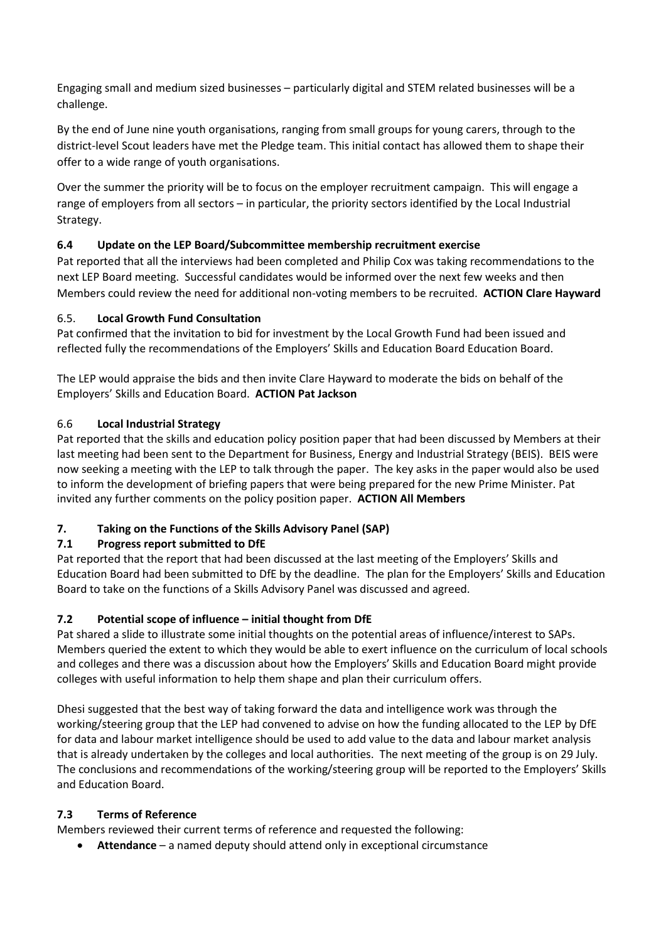Engaging small and medium sized businesses – particularly digital and STEM related businesses will be a challenge.

By the end of June nine youth organisations, ranging from small groups for young carers, through to the district-level Scout leaders have met the Pledge team. This initial contact has allowed them to shape their offer to a wide range of youth organisations.

Over the summer the priority will be to focus on the employer recruitment campaign. This will engage a range of employers from all sectors – in particular, the priority sectors identified by the Local Industrial Strategy.

# **6.4 Update on the LEP Board/Subcommittee membership recruitment exercise**

Pat reported that all the interviews had been completed and Philip Cox was taking recommendations to the next LEP Board meeting. Successful candidates would be informed over the next few weeks and then Members could review the need for additional non-voting members to be recruited. **ACTION Clare Hayward**

# 6.5. **Local Growth Fund Consultation**

Pat confirmed that the invitation to bid for investment by the Local Growth Fund had been issued and reflected fully the recommendations of the Employers' Skills and Education Board Education Board.

The LEP would appraise the bids and then invite Clare Hayward to moderate the bids on behalf of the Employers' Skills and Education Board. **ACTION Pat Jackson**

# 6.6 **Local Industrial Strategy**

Pat reported that the skills and education policy position paper that had been discussed by Members at their last meeting had been sent to the Department for Business, Energy and Industrial Strategy (BEIS). BEIS were now seeking a meeting with the LEP to talk through the paper. The key asks in the paper would also be used to inform the development of briefing papers that were being prepared for the new Prime Minister. Pat invited any further comments on the policy position paper. **ACTION All Members**

# **7. Taking on the Functions of the Skills Advisory Panel (SAP)**

# **7.1 Progress report submitted to DfE**

Pat reported that the report that had been discussed at the last meeting of the Employers' Skills and Education Board had been submitted to DfE by the deadline. The plan for the Employers' Skills and Education Board to take on the functions of a Skills Advisory Panel was discussed and agreed.

## **7.2 Potential scope of influence – initial thought from DfE**

Pat shared a slide to illustrate some initial thoughts on the potential areas of influence/interest to SAPs. Members queried the extent to which they would be able to exert influence on the curriculum of local schools and colleges and there was a discussion about how the Employers' Skills and Education Board might provide colleges with useful information to help them shape and plan their curriculum offers.

Dhesi suggested that the best way of taking forward the data and intelligence work was through the working/steering group that the LEP had convened to advise on how the funding allocated to the LEP by DfE for data and labour market intelligence should be used to add value to the data and labour market analysis that is already undertaken by the colleges and local authorities. The next meeting of the group is on 29 July. The conclusions and recommendations of the working/steering group will be reported to the Employers' Skills and Education Board.

## **7.3 Terms of Reference**

Members reviewed their current terms of reference and requested the following:

• **Attendance** – a named deputy should attend only in exceptional circumstance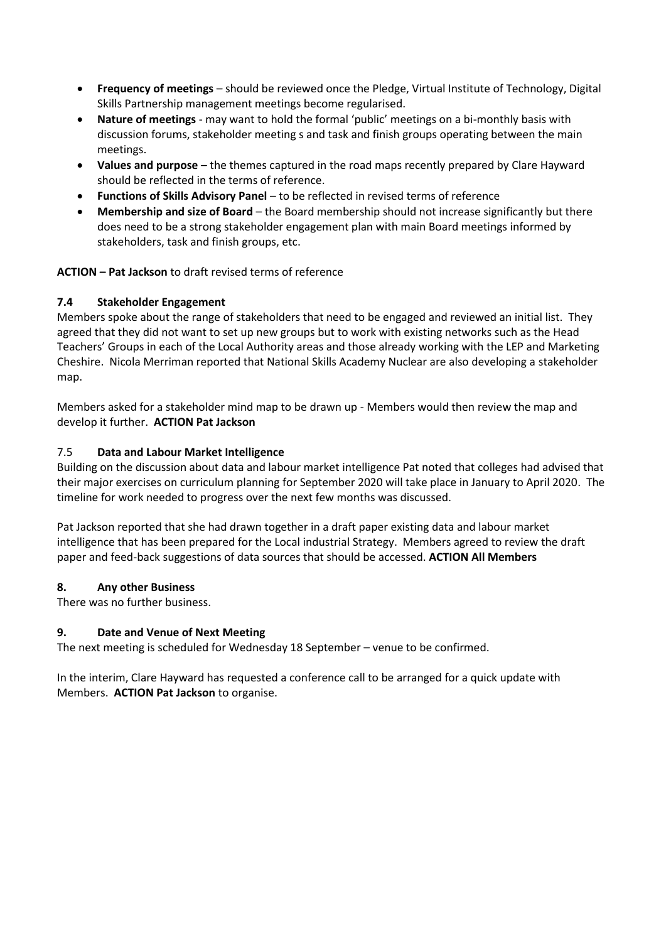- **Frequency of meetings** should be reviewed once the Pledge, Virtual Institute of Technology, Digital Skills Partnership management meetings become regularised.
- **Nature of meetings** may want to hold the formal 'public' meetings on a bi-monthly basis with discussion forums, stakeholder meeting s and task and finish groups operating between the main meetings.
- **Values and purpose** the themes captured in the road maps recently prepared by Clare Hayward should be reflected in the terms of reference.
- **Functions of Skills Advisory Panel**  to be reflected in revised terms of reference
- **Membership and size of Board**  the Board membership should not increase significantly but there does need to be a strong stakeholder engagement plan with main Board meetings informed by stakeholders, task and finish groups, etc.

## **ACTION – Pat Jackson** to draft revised terms of reference

## **7.4 Stakeholder Engagement**

Members spoke about the range of stakeholders that need to be engaged and reviewed an initial list. They agreed that they did not want to set up new groups but to work with existing networks such as the Head Teachers' Groups in each of the Local Authority areas and those already working with the LEP and Marketing Cheshire. Nicola Merriman reported that National Skills Academy Nuclear are also developing a stakeholder map.

Members asked for a stakeholder mind map to be drawn up - Members would then review the map and develop it further. **ACTION Pat Jackson**

## 7.5 **Data and Labour Market Intelligence**

Building on the discussion about data and labour market intelligence Pat noted that colleges had advised that their major exercises on curriculum planning for September 2020 will take place in January to April 2020. The timeline for work needed to progress over the next few months was discussed.

Pat Jackson reported that she had drawn together in a draft paper existing data and labour market intelligence that has been prepared for the Local industrial Strategy. Members agreed to review the draft paper and feed-back suggestions of data sources that should be accessed. **ACTION All Members**

#### **8. Any other Business**

There was no further business.

## **9. Date and Venue of Next Meeting**

The next meeting is scheduled for Wednesday 18 September – venue to be confirmed.

In the interim, Clare Hayward has requested a conference call to be arranged for a quick update with Members. **ACTION Pat Jackson** to organise.